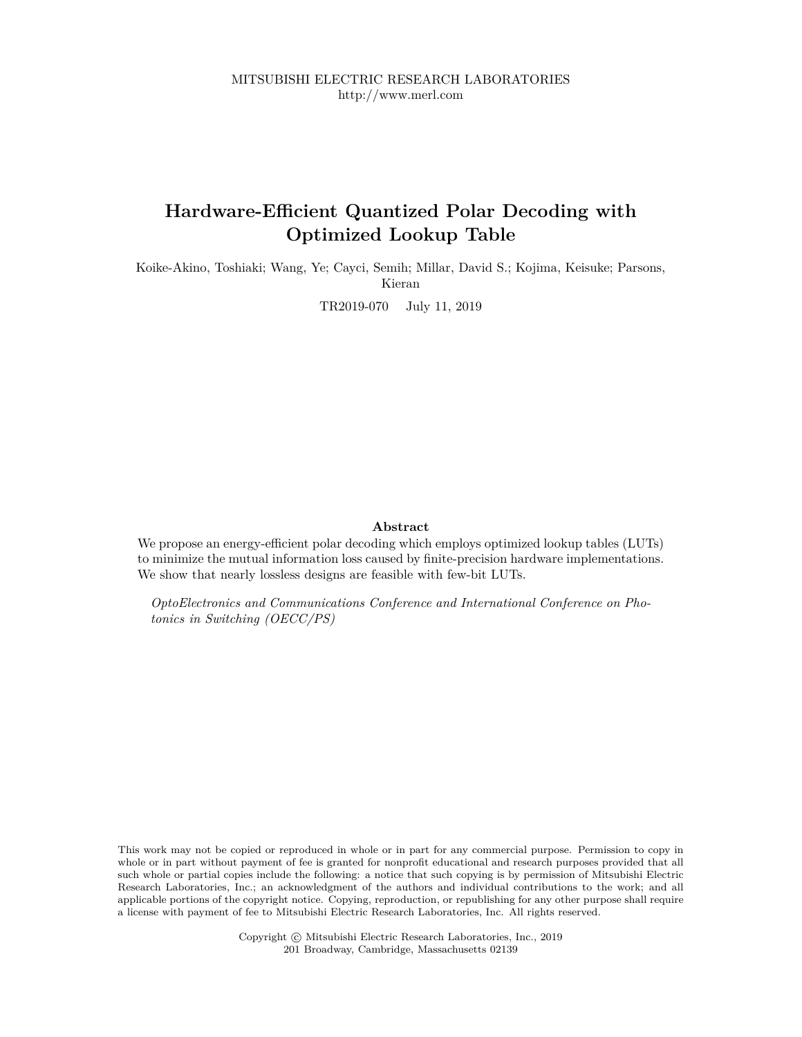MITSUBISHI ELECTRIC RESEARCH LABORATORIES http://www.merl.com

# **Hardware-Efficient Quantized Polar Decoding with Optimized Lookup Table**

Koike-Akino, Toshiaki; Wang, Ye; Cayci, Semih; Millar, David S.; Kojima, Keisuke; Parsons, Kieran

TR2019-070 July 11, 2019

#### **Abstract**

We propose an energy-efficient polar decoding which employs optimized lookup tables (LUTs) to minimize the mutual information loss caused by finite-precision hardware implementations. We show that nearly lossless designs are feasible with few-bit LUTs.

*OptoElectronics and Communications Conference and International Conference on Photonics in Switching (OECC/PS)*

This work may not be copied or reproduced in whole or in part for any commercial purpose. Permission to copy in whole or in part without payment of fee is granted for nonprofit educational and research purposes provided that all such whole or partial copies include the following: a notice that such copying is by permission of Mitsubishi Electric Research Laboratories, Inc.; an acknowledgment of the authors and individual contributions to the work; and all applicable portions of the copyright notice. Copying, reproduction, or republishing for any other purpose shall require a license with payment of fee to Mitsubishi Electric Research Laboratories, Inc. All rights reserved.

> Copyright © Mitsubishi Electric Research Laboratories, Inc., 2019 201 Broadway, Cambridge, Massachusetts 02139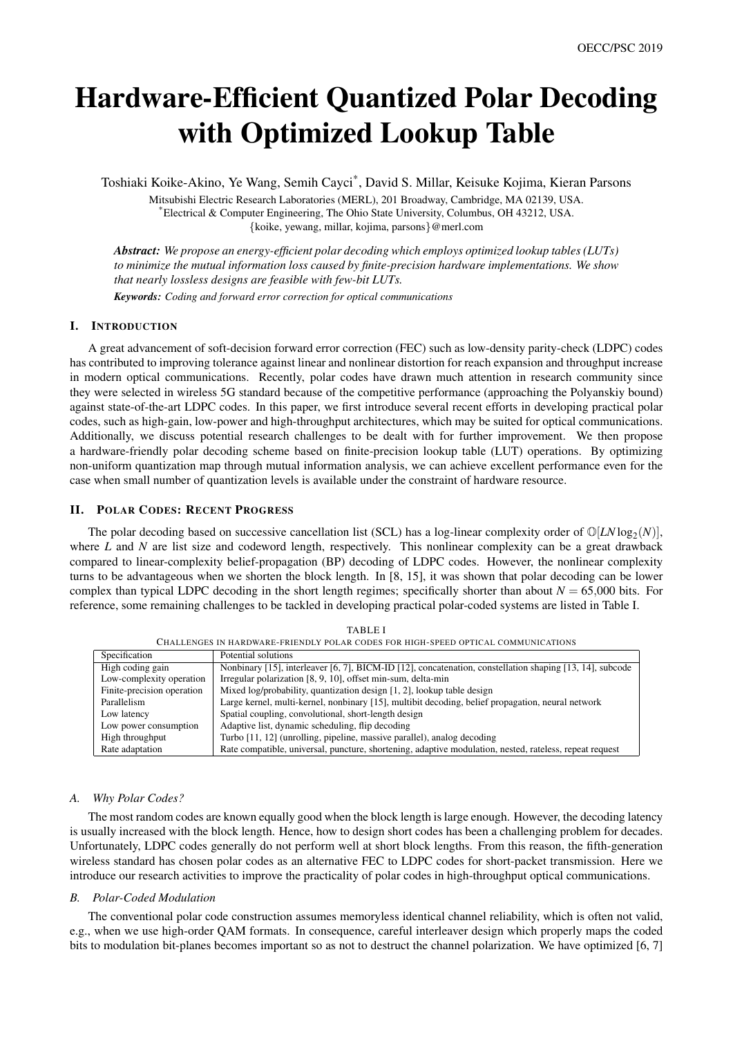# Hardware-Efficient Quantized Polar Decoding with Optimized Lookup Table

Toshiaki Koike-Akino, Ye Wang, Semih Cayci\* , David S. Millar, Keisuke Kojima, Kieran Parsons

Mitsubishi Electric Research Laboratories (MERL), 201 Broadway, Cambridge, MA 02139, USA. \*Electrical & Computer Engineering, The Ohio State University, Columbus, OH 43212, USA. {koike, yewang, millar, kojima, parsons}@merl.com

*Abstract: We propose an energy-efficient polar decoding which employs optimized lookup tables (LUTs) to minimize the mutual information loss caused by finite-precision hardware implementations. We show that nearly lossless designs are feasible with few-bit LUTs.*

*Keywords: Coding and forward error correction for optical communications*

### I. INTRODUCTION

A great advancement of soft-decision forward error correction (FEC) such as low-density parity-check (LDPC) codes has contributed to improving tolerance against linear and nonlinear distortion for reach expansion and throughput increase in modern optical communications. Recently, polar codes have drawn much attention in research community since they were selected in wireless 5G standard because of the competitive performance (approaching the Polyanskiy bound) against state-of-the-art LDPC codes. In this paper, we first introduce several recent efforts in developing practical polar codes, such as high-gain, low-power and high-throughput architectures, which may be suited for optical communications. Additionally, we discuss potential research challenges to be dealt with for further improvement. We then propose a hardware-friendly polar decoding scheme based on finite-precision lookup table (LUT) operations. By optimizing non-uniform quantization map through mutual information analysis, we can achieve excellent performance even for the case when small number of quantization levels is available under the constraint of hardware resource.

## II. POLAR CODES: RECENT PROGRESS

The polar decoding based on successive cancellation list (SCL) has a log-linear complexity order of  $\mathbb{O}[LN \log_2(N)]$ , where *L* and *N* are list size and codeword length, respectively. This nonlinear complexity can be a great drawback compared to linear-complexity belief-propagation (BP) decoding of LDPC codes. However, the nonlinear complexity turns to be advantageous when we shorten the block length. In [8, 15], it was shown that polar decoding can be lower complex than typical LDPC decoding in the short length regimes; specifically shorter than about  $N = 65,000$  bits. For reference, some remaining challenges to be tackled in developing practical polar-coded systems are listed in Table I.

| Specification              | Potential solutions                                                                                      |
|----------------------------|----------------------------------------------------------------------------------------------------------|
| High coding gain           | Nonbinary [15], interleaver [6, 7], BICM-ID [12], concatenation, constellation shaping [13, 14], subcode |
| Low-complexity operation   | Irregular polarization [8, 9, 10], offset min-sum, delta-min                                             |
| Finite-precision operation | Mixed log/probability, quantization design [1, 2], lookup table design                                   |
| Parallelism                | Large kernel, multi-kernel, nonbinary [15], multibit decoding, belief propagation, neural network        |
| Low latency                | Spatial coupling, convolutional, short-length design                                                     |
| Low power consumption      | Adaptive list, dynamic scheduling, flip decoding                                                         |
| High throughput            | Turbo [11, 12] (unrolling, pipeline, massive parallel), analog decoding                                  |
| Rate adaptation            | Rate compatible, universal, puncture, shortening, adaptive modulation, nested, rateless, repeat request  |
|                            |                                                                                                          |

TABLE I CHALLENGES IN HARDWARE-FRIENDLY POLAR CODES FOR HIGH-SPEED OPTICAL COMMUNICATIONS

#### *A. Why Polar Codes?*

The most random codes are known equally good when the block length is large enough. However, the decoding latency is usually increased with the block length. Hence, how to design short codes has been a challenging problem for decades. Unfortunately, LDPC codes generally do not perform well at short block lengths. From this reason, the fifth-generation wireless standard has chosen polar codes as an alternative FEC to LDPC codes for short-packet transmission. Here we introduce our research activities to improve the practicality of polar codes in high-throughput optical communications.

#### *B. Polar-Coded Modulation*

The conventional polar code construction assumes memoryless identical channel reliability, which is often not valid, e.g., when we use high-order QAM formats. In consequence, careful interleaver design which properly maps the coded bits to modulation bit-planes becomes important so as not to destruct the channel polarization. We have optimized [6, 7]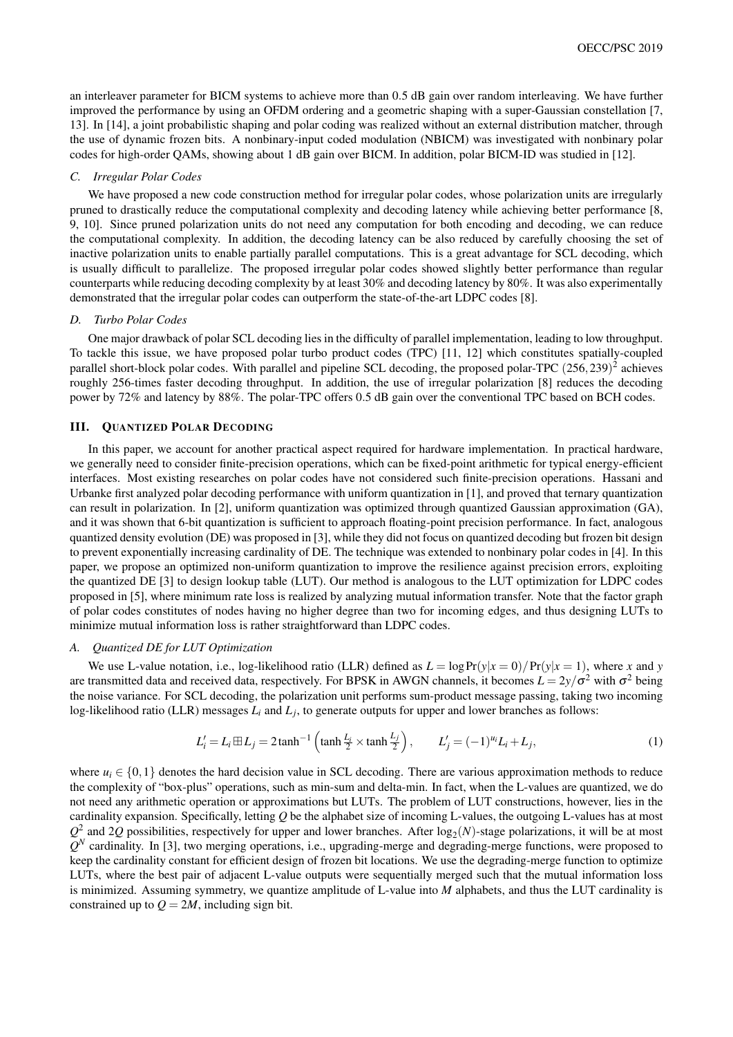an interleaver parameter for BICM systems to achieve more than 0.5 dB gain over random interleaving. We have further improved the performance by using an OFDM ordering and a geometric shaping with a super-Gaussian constellation [7, 13]. In [14], a joint probabilistic shaping and polar coding was realized without an external distribution matcher, through the use of dynamic frozen bits. A nonbinary-input coded modulation (NBICM) was investigated with nonbinary polar codes for high-order QAMs, showing about 1 dB gain over BICM. In addition, polar BICM-ID was studied in [12].

#### *C. Irregular Polar Codes*

We have proposed a new code construction method for irregular polar codes, whose polarization units are irregularly pruned to drastically reduce the computational complexity and decoding latency while achieving better performance [8, 9, 10]. Since pruned polarization units do not need any computation for both encoding and decoding, we can reduce the computational complexity. In addition, the decoding latency can be also reduced by carefully choosing the set of inactive polarization units to enable partially parallel computations. This is a great advantage for SCL decoding, which is usually difficult to parallelize. The proposed irregular polar codes showed slightly better performance than regular counterparts while reducing decoding complexity by at least 30% and decoding latency by 80%. It was also experimentally demonstrated that the irregular polar codes can outperform the state-of-the-art LDPC codes [8].

#### *D. Turbo Polar Codes*

One major drawback of polar SCL decoding lies in the difficulty of parallel implementation, leading to low throughput. To tackle this issue, we have proposed polar turbo product codes (TPC) [11, 12] which constitutes spatially-coupled parallel short-block polar codes. With parallel and pipeline SCL decoding, the proposed polar-TPC (256,239) 2 achieves roughly 256-times faster decoding throughput. In addition, the use of irregular polarization [8] reduces the decoding power by 72% and latency by 88%. The polar-TPC offers 0.5 dB gain over the conventional TPC based on BCH codes.

### III. QUANTIZED POLAR DECODING

In this paper, we account for another practical aspect required for hardware implementation. In practical hardware, we generally need to consider finite-precision operations, which can be fixed-point arithmetic for typical energy-efficient interfaces. Most existing researches on polar codes have not considered such finite-precision operations. Hassani and Urbanke first analyzed polar decoding performance with uniform quantization in [1], and proved that ternary quantization can result in polarization. In [2], uniform quantization was optimized through quantized Gaussian approximation (GA), and it was shown that 6-bit quantization is sufficient to approach floating-point precision performance. In fact, analogous quantized density evolution (DE) was proposed in [3], while they did not focus on quantized decoding but frozen bit design to prevent exponentially increasing cardinality of DE. The technique was extended to nonbinary polar codes in [4]. In this paper, we propose an optimized non-uniform quantization to improve the resilience against precision errors, exploiting the quantized DE [3] to design lookup table (LUT). Our method is analogous to the LUT optimization for LDPC codes proposed in [5], where minimum rate loss is realized by analyzing mutual information transfer. Note that the factor graph of polar codes constitutes of nodes having no higher degree than two for incoming edges, and thus designing LUTs to minimize mutual information loss is rather straightforward than LDPC codes.

#### *A. Quantized DE for LUT Optimization*

We use L-value notation, i.e., log-likelihood ratio (LLR) defined as  $L = \log \Pr(y|x=0) / \Pr(y|x=1)$ , where *x* and *y* are transmitted data and received data, respectively. For BPSK in AWGN channels, it becomes  $L = 2y/\sigma^2$  with  $\sigma^2$  being the noise variance. For SCL decoding, the polarization unit performs sum-product message passing, taking two incoming log-likelihood ratio (LLR) messages *L<sup>i</sup>* and *L<sup>j</sup>* , to generate outputs for upper and lower branches as follows:

$$
L'_{i} = L_{i} \boxplus L_{j} = 2 \tanh^{-1} \left( \tanh \frac{L_{i}}{2} \times \tanh \frac{L_{j}}{2} \right), \qquad L'_{j} = (-1)^{u_{i}} L_{i} + L_{j}, \tag{1}
$$

where  $u_i \in \{0,1\}$  denotes the hard decision value in SCL decoding. There are various approximation methods to reduce the complexity of "box-plus" operations, such as min-sum and delta-min. In fact, when the L-values are quantized, we do not need any arithmetic operation or approximations but LUTs. The problem of LUT constructions, however, lies in the cardinality expansion. Specifically, letting *Q* be the alphabet size of incoming L-values, the outgoing L-values has at most  $Q^2$  and 2Q possibilities, respectively for upper and lower branches. After  $log_2(N)$ -stage polarizations, it will be at most  $Q^N$  cardinality. In [3], two merging operations, i.e., upgrading-merge and degrading-merge functions, were proposed to keep the cardinality constant for efficient design of frozen bit locations. We use the degrading-merge function to optimize LUTs, where the best pair of adjacent L-value outputs were sequentially merged such that the mutual information loss is minimized. Assuming symmetry, we quantize amplitude of L-value into *M* alphabets, and thus the LUT cardinality is constrained up to  $Q = 2M$ , including sign bit.